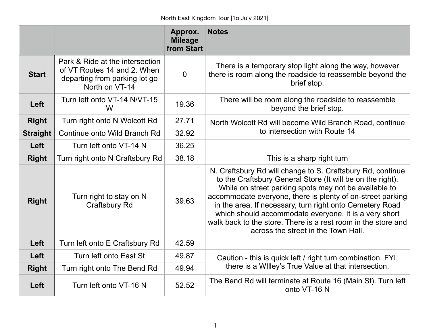|                 |                                                                                                                   | Approx.<br><b>Mileage</b><br>from Start | <b>Notes</b>                                                                                                                                                                                                                                                                                                                                                                                                                                                                 |
|-----------------|-------------------------------------------------------------------------------------------------------------------|-----------------------------------------|------------------------------------------------------------------------------------------------------------------------------------------------------------------------------------------------------------------------------------------------------------------------------------------------------------------------------------------------------------------------------------------------------------------------------------------------------------------------------|
| <b>Start</b>    | Park & Ride at the intersection<br>of VT Routes 14 and 2. When<br>departing from parking lot go<br>North on VT-14 | $\overline{0}$                          | There is a temporary stop light along the way, however<br>there is room along the roadside to reassemble beyond the<br>brief stop.                                                                                                                                                                                                                                                                                                                                           |
| Left            | Turn left onto VT-14 N/VT-15<br>W                                                                                 | 19.36                                   | There will be room along the roadside to reassemble<br>beyond the brief stop.                                                                                                                                                                                                                                                                                                                                                                                                |
| <b>Right</b>    | Turn right onto N Wolcott Rd                                                                                      | 27.71                                   | North Wolcott Rd will become Wild Branch Road, continue<br>to intersection with Route 14                                                                                                                                                                                                                                                                                                                                                                                     |
| <b>Straight</b> | Continue onto Wild Branch Rd                                                                                      | 32.92                                   |                                                                                                                                                                                                                                                                                                                                                                                                                                                                              |
| <b>Left</b>     | Turn left onto VT-14 N                                                                                            | 36.25                                   |                                                                                                                                                                                                                                                                                                                                                                                                                                                                              |
| <b>Right</b>    | Turn right onto N Craftsbury Rd                                                                                   | 38.18                                   | This is a sharp right turn                                                                                                                                                                                                                                                                                                                                                                                                                                                   |
| <b>Right</b>    | Turn right to stay on N<br><b>Craftsbury Rd</b>                                                                   | 39.63                                   | N. Craftsbury Rd will change to S. Craftsbury Rd, continue<br>to the Craftsbury General Store (It will be on the right).<br>While on street parking spots may not be available to<br>accommodate everyone, there is plenty of on-street parking<br>in the area. If necessary, turn right onto Cemetery Road<br>which should accommodate everyone. It is a very short<br>walk back to the store. There is a rest room in the store and<br>across the street in the Town Hall. |
| Left            | Turn left onto E Craftsbury Rd                                                                                    | 42.59                                   |                                                                                                                                                                                                                                                                                                                                                                                                                                                                              |
| Left            | Turn left onto East St                                                                                            | 49.87                                   | Caution - this is quick left / right turn combination. FYI,<br>there is a Willey's True Value at that intersection.                                                                                                                                                                                                                                                                                                                                                          |
| <b>Right</b>    | Turn right onto The Bend Rd                                                                                       | 49.94                                   |                                                                                                                                                                                                                                                                                                                                                                                                                                                                              |
| Left            | Turn left onto VT-16 N                                                                                            | 52.52                                   | The Bend Rd will terminate at Route 16 (Main St). Turn left<br>onto VT-16 N                                                                                                                                                                                                                                                                                                                                                                                                  |